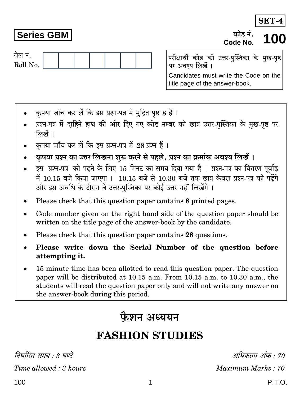कोड नं Code No.



**Series GBM** 

परीक्षार्थी कोड को उत्तर-पुस्तिका के मुख-पृष्ठ पर अवश्य लिखें । Candidates must write the Code on the title page of the answer-book.

- कपया जाँच कर लें कि इस प्रश्न-पत्र में मुद्रित पृष्ठ 8 हैं।
- प्रश्न-पत्र में दाहिने हाथ की ओर दिए गए कोड नम्बर को छात्र उत्तर-पुस्तिका के मुख-पृष्ठ पर लिखें ।
- कपया जाँच कर लें कि इस प्रश्न-पत्र में 28 प्रश्न हैं।
- कपया प्रश्न का उत्तर लिखना शुरू करने से पहले. प्रश्न का क्रमांक अवश्य लिखें।
- इस प्रश्न-पत्र को पढने के लिए 15 मिनट का समय दिया गया है। प्रश्न-पत्र का वितरण पूर्वाह्न में 10.15 बजे किया जाएगा । 10.15 बजे से 10.30 बजे तक छात्र केवल प्रश्न-पत्र को पढेंगे और इस अवधि के दौरान वे उत्तर-पुस्तिका पर कोई उत्तर नहीं लिखेंगे ।
- Please check that this question paper contains 8 printed pages.
- Code number given on the right hand side of the question paper should be written on the title page of the answer-book by the candidate.
- Please check that this question paper contains 28 questions.  $\bullet$
- Please write down the Serial Number of the question before attempting it.
- 15 minute time has been allotted to read this question paper. The question paper will be distributed at 10.15 a.m. From 10.15 a.m. to 10.30 a.m., the students will read the question paper only and will not write any answer on the answer-book during this period.

# फैशन अध्ययन

# **FASHION STUDIES**

निर्धारित समय : 3 घण्टे

Time allowed: 3 hours

अधिकतम अंक : 70 Maximum Marks: 70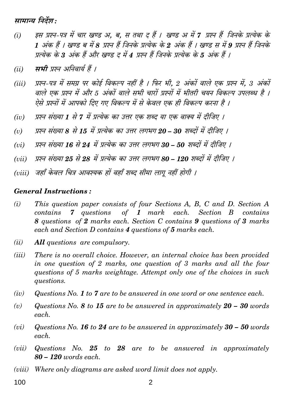मामान्य निर्देश :

- इस प्रश्न-पत्र में चार खण्ड अ. ब. स तथा द हैं । खण्ड अ में 7 प्रश्न हैं जिनके प्रत्येक के  $(i)$ 1 अंक हैं । खण्ड ब में 8 प्रश्न हैं जिनके प्रत्येक के 2 अंक हैं । खण्ड स में 9 प्रश्न हैं जिनके प्रत्येक के 3 अंक हैं और खण्ड द में 4 प्रश्न हैं जिनके प्रत्येक के 5 अंक हैं ।
- सभी प्रश्न अनिवार्य हैं ।  $(ii)$
- प्रश्न-पत्र में समग्र पर कोई विकल्प नहीं है । फिर भी. 2 अंकों वाले एक प्रश्न में. 3 अंकों  $(iii)$ वाले एक प्रश्न में और 5 अंकों वाले सभी चारों प्रश्नों में भीतरी चयन विकल्प उपलब्ध है । ऐसे प्रश्नों में आपको दिए गए विकल्प में से केवल एक ही विकल्प करना है ।
- प्रश्न संख्या 1 से 7 में प्रत्येक का उत्तर एक शब्द या एक वाक्य में दीजिए ।  $(iv)$
- प्रश्न संख्या 8 से 15 में प्रत्येक का उत्तर लगभग 20 30 शब्दों में दीजिए ।  $(v)$
- प्रश्न संख्या 16 से 24 में प्रत्येक का उत्तर लगभग 30 50 शब्दों में दीजिए ।  $(vii)$
- प्रश्न संख्या 25 से 28 में प्रत्येक का उत्तर लगभग 80 120 शब्दों में दीजिए ।  $(vii)$
- (viii) जहाँ केवल चित्र आवश्यक हों वहाँ शब्द सीमा लाग नहीं होगी ।

#### **General Instructions:**

- $(i)$ This question paper consists of four Sections A, B, C and D. Section A contains 7 questions of  $1$  mark  $each.$ Section B contains 8 questions of 2 marks each. Section C contains 9 questions of 3 marks each and Section D contains 4 questions of 5 marks each.
- **All** questions are compulsory.  $(ii)$
- There is no overall choice. However, an internal choice has been provided  $(iii)$ in one question of 2 marks, one question of 3 marks and all the four questions of 5 marks weightage. Attempt only one of the choices in such questions.
- Questions  $No. 1 to 7$  are to be answered in one word or one sentence each.  $(iv)$
- $(v)$ Questions No. 8 to 15 are to be answered in approximately  $20 - 30$  words each.
- Questions No. 16 to 24 are to be answered in approximately  $30 50$  words  $(vi)$ each.
- Questions No.  $25$  to  $28$  are to be answered in approximately  $(vii)$  $80 - 120$  words each.
- Where only diagrams are asked word limit does not apply.  $(viii)$
- 100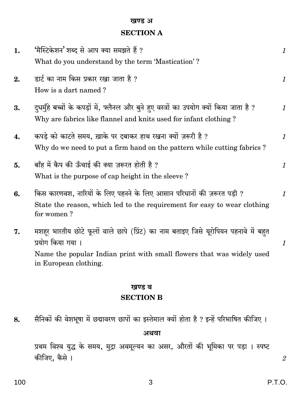#### खण्ड अ

## **SECTION A**

|    | <b>SECTION B</b>                                                                                                                                                 |               |
|----|------------------------------------------------------------------------------------------------------------------------------------------------------------------|---------------|
|    | खण्ड ब                                                                                                                                                           |               |
|    | Name the popular Indian print with small flowers that was widely used<br>in European clothing.                                                                   |               |
| 7. | मशहर भारतीय छोटे फूलों वाले छापे (प्रिंट) का नाम बताइए जिसे यूरोपियन पहनावे में बहुत<br>प्रयोग किया गया ।                                                        | $\mathbf{1}$  |
| 6. | किस कारणवश, नारियों के लिए पहनने के लिए आसान परिधानों की ज़रूरत पड़ी ?<br>State the reason, which led to the requirement for easy to wear clothing<br>for women? | $\mathbf{1}$  |
| 5. | बाँह में कैप की ऊँचाई की क्या ज़रूरत होती है ?<br>What is the purpose of cap height in the sleeve?                                                               | $\mathbf{1}$  |
| 4. | कपड़े को काटते समय, ख़ाके पर दबाकर हाथ रखना क्यों ज़रूरी है ?<br>Why do we need to put a firm hand on the pattern while cutting fabrics?                         | $\mathcal{I}$ |
| 3. | दुधमुँहे बच्चों के कपड़ों में, फ्लैनल और बुने हुए वस्त्रों का उपयोग क्यों किया जाता है ?<br>Why are fabrics like flannel and knits used for infant clothing?     | $\mathbf{1}$  |
| 2. | डार्ट का नाम किस प्रकार रखा जाता है ?<br>How is a dart named?                                                                                                    | $\mathcal{I}$ |
| 1. | 'मैस्टिकेशन' शब्द से आप क्या समझते हैं ?<br>What do you understand by the term 'Mastication'?                                                                    | $\mathcal{I}$ |

सैनिकों की वेशभूषा में छद्मावरण छापों का इस्तेमाल क्यों होता है ? इन्हें परिभाषित कीजिए । 8.

अथवा

प्रथम विश्व युद्ध के समय, मुद्रा अवमूल्यन का असर, औरतों की भूमिका पर पड़ा । स्पष्ट कीजिए, कैसे ।

 $\overline{2}$ 

 $\mathsf 3$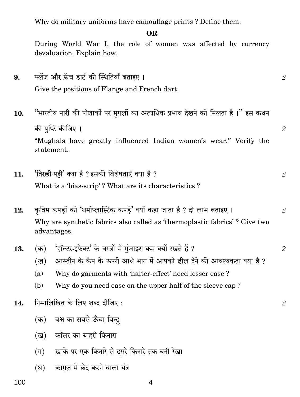Why do military uniforms have camouflage prints? Define them.

### OR.

During World War I, the role of women was affected by currency devaluation. Explain how.

- फ्लेंज और फ्रेंच डार्ट की स्थितियाँ बताइए ।  $9<sub>1</sub>$  $\mathfrak{D}$ Give the positions of Flange and French dart.
- "भारतीय नारी की पोशाकों पर मुग़लों का अत्यधिक प्रभाव देखने को मिलता है।" इस कथन 10. की पुष्टि कीजिए । "Mughals have greatly influenced Indian women's wear." Verify the statement.

 $\overline{2}$ 

 $\overline{2}$ 

 $\overline{2}$ 

'तिरछी-पट्टी' क्या है ? इसकी विशेषताएँ क्या हैं ?  $11.$  $\overline{2}$ 

What is a 'bias-strip'? What are its characteristics?

- कुत्रिम कपड़ों को 'थर्मोप्लास्टिक कपडे' क्यों कहा जाता है ? दो लाभ बताइए । 12. Why are synthetic fabrics also called as 'thermoplastic fabrics'? Give two advantages.
- 'हॉल्टर-डफेक्ट' के वस्त्रों में गंजाइश कम क्यों रखते हैं ?  $(\overline{a})$ 13.  $\overline{2}$ 
	- आस्तीन के कैप के ऊपरी आधे भाग में आपको ढील देने की आवश्यकता क्या है ?  $(\overline{g})$
	- Why do garments with 'halter-effect' need lesser ease?  $(a)$
	- Why do you need ease on the upper half of the sleeve cap? (b)
- निम्नलिखित के लिए शब्द दीजिए: 14.
	- (क) वक्ष का सबसे ऊँचा बिन्द
	- (ख) कॉलर का बाहरी किनारा
	- ख़ाके पर एक किनारे से दसरे किनारे तक बनी रेखा  $(\pi)$
	- (घ) काग़ज़ में छेद करने वाला यंत्र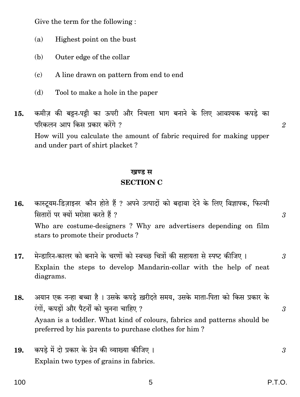Give the term for the following:

- $(a)$ Highest point on the bust
- Outer edge of the collar  $(b)$
- A line drawn on pattern from end to end  $(c)$
- (d) Tool to make a hole in the paper
- कमीज़ की बट्टन-पट्टी का ऊपरी और निचला भाग बनाने के लिए आवश्यक कपड़े का 15. परिकलन आप किस प्रकार करेंगे ? How will you calculate the amount of fabric required for making upper and under part of shirt placket?

# खण्ड स **SECTION C**

- कास्टयम-डिज़ाइनर कौन होते हैं ? अपने उत्पादों को बढावा देने के लिए विज्ञापक, फिल्मी 16. सितारों पर क्यों भरोसा करते हैं ? Who are costume-designers? Why are advertisers depending on film stars to promote their products?
- मेन्डारिन-कालर को बनाने के चरणों को स्वच्छ चित्रों की सहायता से स्पष्ट कीजिए। 17. Explain the steps to develop Mandarin-collar with the help of neat diagrams.
- अयान एक नन्हा बच्चा है । उसके कपडे ख़रीदते समय, उसके माता-पिता को किस प्रकार के 18. रंगों, कपडों और पैटर्नों को चुनना चाहिए ? Ayaan is a toddler. What kind of colours, fabrics and patterns should be preferred by his parents to purchase clothes for him?
- कपड़े में दो प्रकार के ग्रेन की व्याख्या कीजिए । 19. Explain two types of grains in fabrics.

P.T.O.

 $\mathfrak{D}$ 

 $\overline{3}$ 

 $\mathcal{S}$ 

 $\mathfrak{z}$ 

3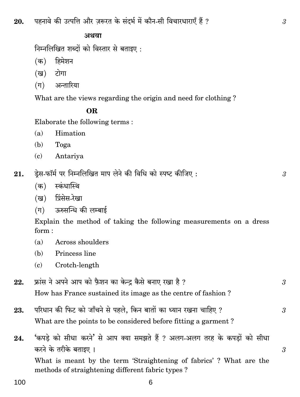पहनावे की उत्पत्ति और ज़रूरत के संदर्भ में कौन-सी विचारधाराएँ हैं ? 20.

#### अथवा

निम्नलिखित शब्दों को विस्तार से बताइए:

- $(\overline{a})$ हिमेशन
- टोगा (ख)
- $(\Pi)$ अन्तारिया

What are the views regarding the origin and need for clothing?

### OR.

Elaborate the following terms:

- $(a)$ Himation
- (b) Toga
- $\epsilon$ Antariya
- डेस-फॉर्म पर निम्नलिखित माप लेने की विधि को स्पष्ट कीजिए: 21.
	- (क) स्कंधास्थि
	- प्रिंसेस-रेखा (ख)
	- ऊरुसन्धि की लम्बाई  $(\pi)$

Explain the method of taking the following measurements on a dress  $form:$ 

- Across shoulders  $(a)$
- $(h)$ Princess line
- Crotch-length  $(c)$
- फ्रांस ने अपने आप को फ़ैशन का केन्द्र कैसे बनाए रखा है ? 22. How has France sustained its image as the centre of fashion?
- परिधान की फिट को जाँचने से पहले, किन बातों का ध्यान रखना चाहिए ? 23. What are the points to be considered before fitting a garment?
- 'कपडे को सीधा करने' से आप क्या समझते हैं ? अलग-अलग तरह के कपडों को सीधा 24. करने के तरीके बताइए ।

What is meant by the term 'Straightening of fabrics'? What are the methods of straightening different fabric types?

6

 $\overline{\mathcal{S}}$ 

 $\mathcal{S}$ 

3

3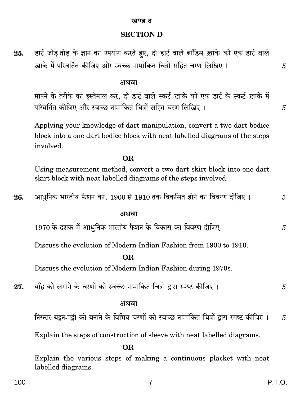### खण्ड ट

### **SECTION D**

डार्ट जोड़-तोड़ के ज्ञान का उपयोग करते हुए, दो डार्ट वाले बॉडिस ख़ाके को एक डार्ट वाले 25. ख़ाके में परिवर्तित कीजिए और स्वच्छ नामांकित चित्रों सहित चरण लिखिए। अथवा मापने के तरीके का इस्तेमाल कर, दो डार्ट वाले स्कर्ट ख़ाके को एक डार्ट के स्कर्ट ख़ाके में परिवर्तित कीजिए और स्वच्छ नामांकित चित्रों सहित चरण लिखिए ।

Applying your knowledge of dart manipulation, convert a two dart bodice block into a one dart bodice block with neat labelled diagrams of the steps involved.

OR.

Using measurement method, convert a two dart skirt block into one dart skirt block with neat labelled diagrams of the steps involved.

आधुनिक भारतीय फ़ैशन का, 1900 से 1910 तक विकसित होने का विवरण दीजिए । 26.

#### अथवा

1970 के दशक में आधुनिक भारतीय फ़ैशन के विकास का विवरण दीजिए ।

Discuss the evolution of Modern Indian Fashion from 1900 to 1910.

#### OR.

Discuss the evolution of Modern Indian Fashion during 1970s.

बाँह को लगाने के चरणों को स्वच्छ नामांकित चित्रों द्वारा स्पष्ट कीजिए । 27.

#### अथवा

निरन्तर बट्टन-पट्टी को बनाने के विभिन्न चरणों को स्वच्छ नामांकित चित्रों द्वारा स्पष्ट कीजिए ।  $\overline{5}$ 

Explain the steps of construction of sleeve with neat labelled diagrams.

#### OR.

Explain the various steps of making a continuous placket with neat labelled diagrams.

 $\overline{7}$ 

5

5

5

 $\overline{5}$ 

 $\overline{5}$